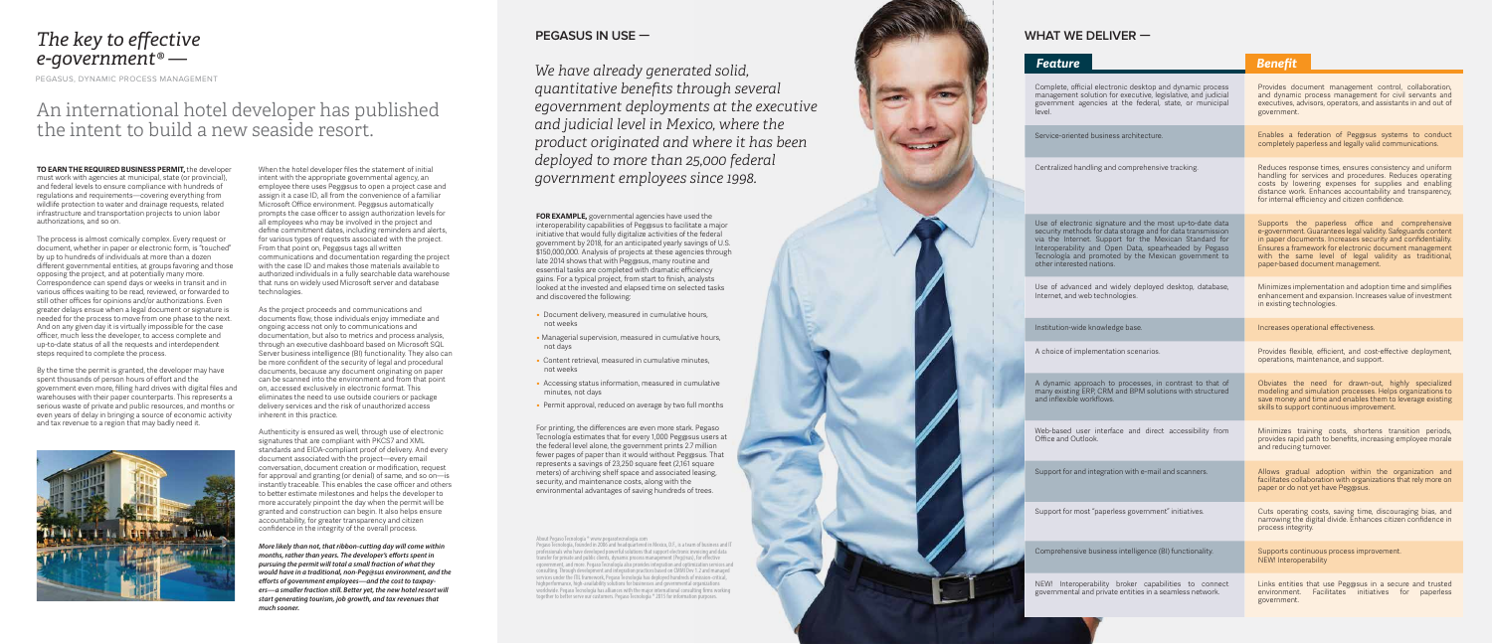## *The key to effective e-government® —*

PEGASUS, DYNAMIC PROCESS MANAGEMENT

**TO EARN THE REQUIRED BUSINESS PERMIT,** the developer must work with agencies at municipal, state (or provincial), and federal levels to ensure compliance with hundreds of regulations and requirements—covering everything from wildlife protection to water and drainage requests, related infrastructure and transportation projects to union labor authorizations, and so on.

The process is almost comically complex. Every request or document, whether in paper or electronic form, is "touched" by up to hundreds of individuals at more than a dozen different governmental entities, at groups favoring and those opposing the project, and at potentially many more. Correspondence can spend days or weeks in transit and in various offices waiting to be read, reviewed, or forwarded to still other offices for opinions and/or authorizations. Even greater delays ensue when a legal document or signature is needed for the process to move from one phase to the next. And on any given day it is virtually impossible for the case officer, much less the developer, to access complete and up-to-date status of all the requests and interdependent steps required to complete the process.

By the time the permit is granted, the developer may have spent thousands of person hours of effort and the government even more, filling hard drives with digital files and warehouses with their paper counterparts. This represents a serious waste of private and public resources, and months or even years of delay in bringing a source of economic activity and tax revenue to a region that may badly need it.



When the hotel developer files the statement of initial intent with the appropriate governmental agency, an employee there uses Peg@sus to open a project case and assign it a case ID, all from the convenience of a familiar Microsoft Office environment. Peg@sus automatically prompts the case officer to assign authorization levels for all employees who may be involved in the project and define commitment dates, including reminders and alerts, for various types of requests associated with the project. From that point on, Peg@sus tags all written communications and documentation regarding the project with the case ID and makes those materials available to authorized individuals in a fully searchable data warehouse that runs on widely used Microsoft server and database technologies.

As the project proceeds and communications and documents flow, those individuals enjoy immediate and ongoing access not only to communications and documentation, but also to metrics and process analysis, through an executive dashboard based on Microsoft SQL Server business intelligence (BI) functionality. They also can be more confident of the security of legal and procedural documents, because any document originating on paper can be scanned into the environment and from that point on, accessed exclusively in electronic format. This eliminates the need to use outside couriers or package delivery services and the risk of unauthorized access inherent in this practice.

Authenticity is ensured as well, through use of electronic signatures that are compliant with PKCS7 and XML standards and EIDA-compliant proof of delivery. And every document associated with the project—every email conversation, document creation or modification, request for approval and granting (or denial) of same, and so on—is instantly traceable. This enables the case officer and others to better estimate milestones and helps the developer to more accurately pinpoint the day when the permit will be granted and construction can begin. It also helps ensure accountability, for greater transparency and citizen confidence in the integrity of the overall process.

*More likely than not, that ribbon-cutting day will come within months, rather than years. The developer's efforts spent in pursuing the permit will total a small fraction of what they would have in a traditional, non-Peg@sus environment, and the*  efforts of government employees—and the cost to taxpay*ers—a smaller fraction still. Better yet, the new hotel resort will start generating tourism, job growth, and tax revenues that much sooner.*

## An international hotel developer has published the intent to build a new seaside resort.

*We have already generated solid, quantitative benefits through several egovernment deployments at the executive and judicial level in Mexico, where the product originated and where it has been deployed to more than 25,000 federal government employees since 1998.*

**FOR EXAMPLE,** governmental agencies have used the interoperability capabilities of Peg@sus to facilitate a major initiative that would fully digitalize activities of the federal government by 2018, for an anticipated yearly savings of U.S. \$150,000,000. Analysis of projects at these agencies through late 2014 shows that with Peg@sus, many routine and essential tasks are completed with dramatic efficiency gains. For a typical project, from start to finish, analysts looked at the invested and elapsed time on selected tasks and discovered the following:

- Document delivery, measured in cumulative hours, not weeks
- Managerial supervision, measured in cumulative hours, not days
- Content retrieval, measured in cumulative minutes, not weeks
- Accessing status information, measured in cumulative minutes, not days
- Permit approval, reduced on average by two full months

For printing, the differences are even more stark. Pegaso Tecnología estimates that for every 1,000 Peg@sus users at the federal level alone, the government prints 2.7 million fewer pages of paper than it would without Peg@sus. That represents a savings of 23,250 square feet (2,161 square meters) of archiving shelf space and associated leasing, security, and maintenance costs, along with the environmental advantages of saving hundreds of trees.

#### **PEGASUS IN USE —**

About Pegaso Tecnología ® www.pegasotecnologia.com Pegaso Tecnología, founded in 2006 and headquartered in Mexico, D.F., is a team of business and IT professionals who have developed powerful solutions that support electronic invoicing and data transfer for private and public clients, dynamic process management (Peg@sus), for eective egovernment, and more. Pegaso Tecnología also provides integration and optimization services and consulting. Through development and integration practices based on CMMI Dev 1.2 and managed services under the ITIL framework, Pegaso Tecnología has deployed hundreds of mission-critical, highperformance, high-availability solutions for businesses and governmental organizations worldwide. Pegaso Tecnología has alliances with the major international consulting firms working together to better serve our customers. Pegaso Tecnología ® 2015 for information purposes.

| <b>Feature</b>                                                                                                                                                                                                                                                                                                                  | <b>Benefit</b>                                                                                                                                                                                                                                                                                                                       |
|---------------------------------------------------------------------------------------------------------------------------------------------------------------------------------------------------------------------------------------------------------------------------------------------------------------------------------|--------------------------------------------------------------------------------------------------------------------------------------------------------------------------------------------------------------------------------------------------------------------------------------------------------------------------------------|
| Complete, official electronic desktop and dynamic process<br>management solution for executive, legislative, and judicial<br>government agencies at the federal, state, or municipal<br>level.                                                                                                                                  | Provides document management control, collaboration,<br>and dynamic process management for civil servants and<br>executives, advisors, operators, and assistants in and out of<br>government.                                                                                                                                        |
| Service-oriented business architecture.                                                                                                                                                                                                                                                                                         | Enables a federation of Peg@sus systems to conduct<br>completely paperless and legally valid communications.                                                                                                                                                                                                                         |
| Centralized handling and comprehensive tracking.                                                                                                                                                                                                                                                                                | Reduces response times, ensures consistency and uniform<br>handling for services and procedures. Reduces operating<br>costs by lowering expenses for supplies and enabling<br>distance work. Enhances accountability and transparency,<br>for internal efficiency and citizen confidence.                                            |
| Use of electronic signature and the most up-to-date data<br>security methods for data storage and for data transmission<br>via the Internet. Support for the Mexican Standard for<br>Interoperability and Open Data, spearheaded by Pegaso<br>Tecnología and promoted by the Mexican government to<br>other interested nations. | Supports the paperless office and comprehensive<br>e-government. Guarantees legal validity. Safeguards content<br>in paper documents. Increases security and confidentiality.<br>Ensures a framework for electronic document management<br>with the same level of legal validity as traditional,<br>paper-based document management. |
| Use of advanced and widely deployed desktop, database,<br>Internet, and web technologies.                                                                                                                                                                                                                                       | Minimizes implementation and adoption time and simplifies<br>enhancement and expansion. Increases value of investment<br>in existing technologies.                                                                                                                                                                                   |
| Institution-wide knowledge base.                                                                                                                                                                                                                                                                                                | Increases operational effectiveness.                                                                                                                                                                                                                                                                                                 |
| A choice of implementation scenarios.                                                                                                                                                                                                                                                                                           | Provides flexible, efficient, and cost-effective deployment,<br>operations, maintenance, and support.                                                                                                                                                                                                                                |
| A dynamic approach to processes, in contrast to that of<br>many existing ERP, CRM and BPM solutions with structured<br>and inflexible workflows.                                                                                                                                                                                | Obviates the need for drawn-out, highly specialized<br>modeling and simulation processes. Helps organizations to<br>save money and time and enables them to leverage existing<br>skills to support continuous improvement.                                                                                                           |
| Web-based user interface and direct accessibility from<br>Office and Outlook.                                                                                                                                                                                                                                                   | Minimizes training costs, shortens transition periods,<br>provides rapid path to benefits, increasing employee morale<br>and reducing turnover.                                                                                                                                                                                      |
| Support for and integration with e-mail and scanners.                                                                                                                                                                                                                                                                           | Allows gradual adoption within the organization and<br>facilitates collaboration with organizations that rely more on<br>paper or do not yet have Peg@sus.                                                                                                                                                                           |
| Support for most "paperless government" initiatives.                                                                                                                                                                                                                                                                            | Cuts operating costs, saving time, discouraging bias, and<br>narrowing the digital divide. Enhances citizen confidence in<br>process integrity.                                                                                                                                                                                      |
| Comprehensive business intelligence (BI) functionality.                                                                                                                                                                                                                                                                         | Supports continuous process improvement.<br>NEW! Interoperability                                                                                                                                                                                                                                                                    |
| NEW! Interoperability broker capabilities to connect<br>governmental and private entities in a seamless network.                                                                                                                                                                                                                | Links entities that use Peg@sus in a secure and trusted<br>Facilitates<br>environment.<br>initiatives<br>for<br>paperless<br>government.                                                                                                                                                                                             |